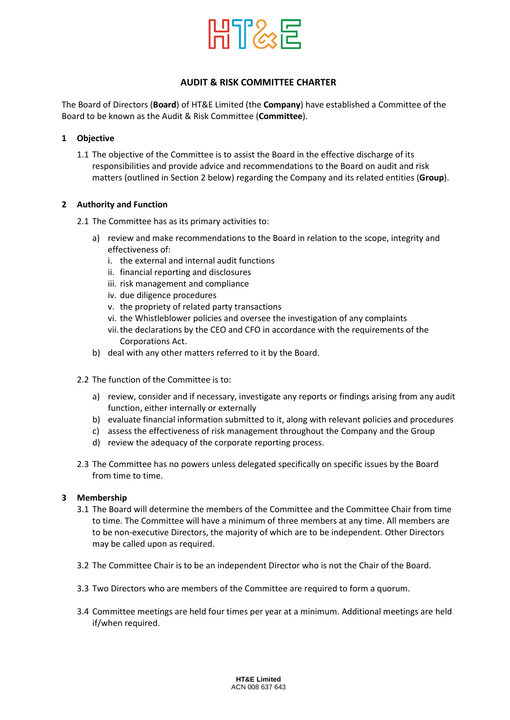

# **AUDIT & RISK COMMITTEE CHARTER**

The Board of Directors (**Board**) of HT&E Limited (the **Company**) have established a Committee of the Board to be known as the Audit & Risk Committee (**Committee**).

## **1 Objective**

1.1 The objective of the Committee is to assist the Board in the effective discharge of its responsibilities and provide advice and recommendations to the Board on audit and risk matters (outlined in Section 2 below) regarding the Company and its related entities (**Group**).

## **2 Authority and Function**

- 2.1 The Committee has as its primary activities to:
	- a) review and make recommendations to the Board in relation to the scope, integrity and effectiveness of:
		- i. the external and internal audit functions
		- ii. financial reporting and disclosures
		- iii. risk management and compliance
		- iv. due diligence procedures
		- v. the propriety of related party transactions
		- vi. the Whistleblower policies and oversee the investigation of any complaints
		- vii.the declarations by the CEO and CFO in accordance with the requirements of the Corporations Act.
	- b) deal with any other matters referred to it by the Board.
- 2.2 The function of the Committee is to:
	- a) review, consider and if necessary, investigate any reports or findings arising from any audit function, either internally or externally
	- b) evaluate financial information submitted to it, along with relevant policies and procedures
	- c) assess the effectiveness of risk management throughout the Company and the Group
	- d) review the adequacy of the corporate reporting process.
- 2.3 The Committee has no powers unless delegated specifically on specific issues by the Board from time to time.

#### **3 Membership**

- 3.1 The Board will determine the members of the Committee and the Committee Chair from time to time. The Committee will have a minimum of three members at any time. All members are to be non-executive Directors, the majority of which are to be independent. Other Directors may be called upon as required.
- 3.2 The Committee Chair is to be an independent Director who is not the Chair of the Board.
- 3.3 Two Directors who are members of the Committee are required to form a quorum.
- 3.4 Committee meetings are held four times per year at a minimum. Additional meetings are held if/when required.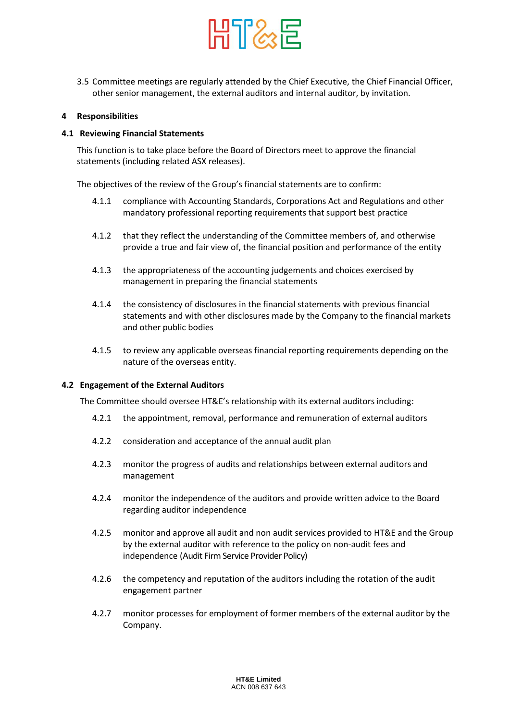

3.5 Committee meetings are regularly attended by the Chief Executive, the Chief Financial Officer, other senior management, the external auditors and internal auditor, by invitation.

#### **4 Responsibilities**

#### **4.1 Reviewing Financial Statements**

This function is to take place before the Board of Directors meet to approve the financial statements (including related ASX releases).

The objectives of the review of the Group's financial statements are to confirm:

- 4.1.1 compliance with Accounting Standards, Corporations Act and Regulations and other mandatory professional reporting requirements that support best practice
- 4.1.2 that they reflect the understanding of the Committee members of, and otherwise provide a true and fair view of, the financial position and performance of the entity
- 4.1.3 the appropriateness of the accounting judgements and choices exercised by management in preparing the financial statements
- 4.1.4 the consistency of disclosures in the financial statements with previous financial statements and with other disclosures made by the Company to the financial markets and other public bodies
- 4.1.5 to review any applicable overseas financial reporting requirements depending on the nature of the overseas entity.

#### **4.2 Engagement of the External Auditors**

The Committee should oversee HT&E's relationship with its external auditors including:

- 4.2.1 the appointment, removal, performance and remuneration of external auditors
- 4.2.2 consideration and acceptance of the annual audit plan
- 4.2.3 monitor the progress of audits and relationships between external auditors and management
- 4.2.4 monitor the independence of the auditors and provide written advice to the Board regarding auditor independence
- 4.2.5 monitor and approve all audit and non audit services provided to HT&E and the Group by the external auditor with reference to the policy on non-audit fees and independence (Audit Firm Service Provider Policy)
- 4.2.6 the competency and reputation of the auditors including the rotation of the audit engagement partner
- 4.2.7 monitor processes for employment of former members of the external auditor by the Company.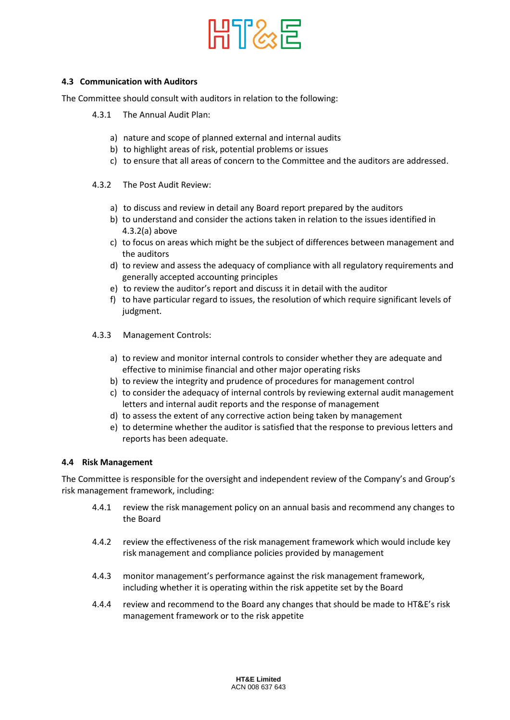

## **4.3 Communication with Auditors**

The Committee should consult with auditors in relation to the following:

- 4.3.1 The Annual Audit Plan:
	- a) nature and scope of planned external and internal audits
	- b) to highlight areas of risk, potential problems or issues
	- c) to ensure that all areas of concern to the Committee and the auditors are addressed.
- 4.3.2 The Post Audit Review:
	- a) to discuss and review in detail any Board report prepared by the auditors
	- b) to understand and consider the actions taken in relation to the issues identified in 4.3.2(a) above
	- c) to focus on areas which might be the subject of differences between management and the auditors
	- d) to review and assess the adequacy of compliance with all regulatory requirements and generally accepted accounting principles
	- e) to review the auditor's report and discuss it in detail with the auditor
	- f) to have particular regard to issues, the resolution of which require significant levels of judgment.
- 4.3.3 Management Controls:
	- a) to review and monitor internal controls to consider whether they are adequate and effective to minimise financial and other major operating risks
	- b) to review the integrity and prudence of procedures for management control
	- c) to consider the adequacy of internal controls by reviewing external audit management letters and internal audit reports and the response of management
	- d) to assess the extent of any corrective action being taken by management
	- e) to determine whether the auditor is satisfied that the response to previous letters and reports has been adequate.

#### **4.4 Risk Management**

The Committee is responsible for the oversight and independent review of the Company's and Group's risk management framework, including:

- 4.4.1 review the risk management policy on an annual basis and recommend any changes to the Board
- 4.4.2 review the effectiveness of the risk management framework which would include key risk management and compliance policies provided by management
- 4.4.3 monitor management's performance against the risk management framework, including whether it is operating within the risk appetite set by the Board
- 4.4.4 review and recommend to the Board any changes that should be made to HT&E's risk management framework or to the risk appetite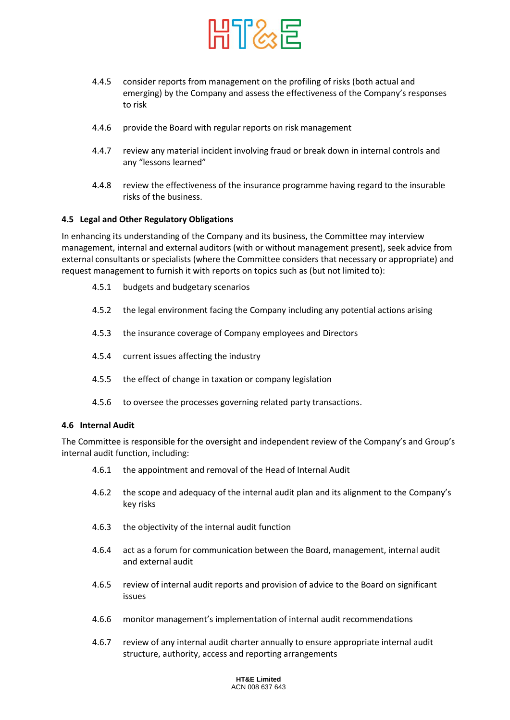

- 4.4.5 consider reports from management on the profiling of risks (both actual and emerging) by the Company and assess the effectiveness of the Company's responses to risk
- 4.4.6 provide the Board with regular reports on risk management
- 4.4.7 review any material incident involving fraud or break down in internal controls and any "lessons learned"
- 4.4.8 review the effectiveness of the insurance programme having regard to the insurable risks of the business.

## **4.5 Legal and Other Regulatory Obligations**

In enhancing its understanding of the Company and its business, the Committee may interview management, internal and external auditors (with or without management present), seek advice from external consultants or specialists (where the Committee considers that necessary or appropriate) and request management to furnish it with reports on topics such as (but not limited to):

- 4.5.1 budgets and budgetary scenarios
- 4.5.2 the legal environment facing the Company including any potential actions arising
- 4.5.3 the insurance coverage of Company employees and Directors
- 4.5.4 current issues affecting the industry
- 4.5.5 the effect of change in taxation or company legislation
- 4.5.6 to oversee the processes governing related party transactions.

#### **4.6 Internal Audit**

The Committee is responsible for the oversight and independent review of the Company's and Group's internal audit function, including:

- 4.6.1 the appointment and removal of the Head of Internal Audit
- 4.6.2 the scope and adequacy of the internal audit plan and its alignment to the Company's key risks
- 4.6.3 the objectivity of the internal audit function
- 4.6.4 act as a forum for communication between the Board, management, internal audit and external audit
- 4.6.5 review of internal audit reports and provision of advice to the Board on significant issues
- 4.6.6 monitor management's implementation of internal audit recommendations
- 4.6.7 review of any internal audit charter annually to ensure appropriate internal audit structure, authority, access and reporting arrangements